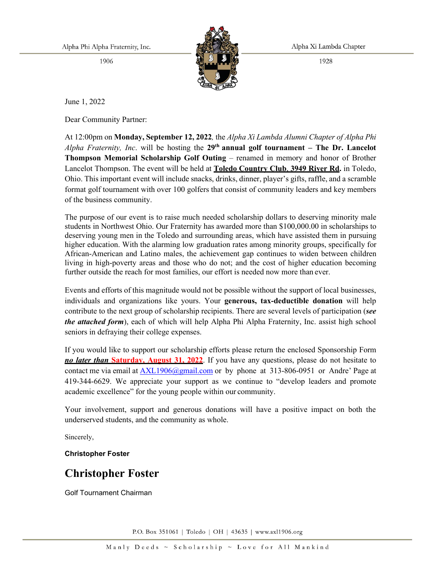Alpha Phi Alpha Fraternity, Inc.

1906



Alpha Xi Lambda Chapter

1928

June 1, 2022

Dear Community Partner:

At 12:00pm on **Monday, September 12, 2022***,* the *Alpha Xi Lambda Alumni Chapter of Alpha Phi Alpha Fraternity, Inc*. will be hosting the **29th annual golf tournament – The Dr. Lancelot Thompson Memorial Scholarship Golf Outing** – renamed in memory and honor of Brother Lancelot Thompson. The event will be held at **Toledo Country Club**, **3949 River Rd.** in Toledo, Ohio. This important event will include snacks, drinks, dinner, player's gifts, raffle, and a scramble format golf tournament with over 100 golfers that consist of community leaders and key members of the business community.

The purpose of our event is to raise much needed scholarship dollars to deserving minority male students in Northwest Ohio. Our Fraternity has awarded more than \$100,000.00 in scholarships to deserving young men in the Toledo and surrounding areas, which have assisted them in pursuing higher education. With the alarming low graduation rates among minority groups, specifically for African-American and Latino males, the achievement gap continues to widen between children living in high-poverty areas and those who do not; and the cost of higher education becoming further outside the reach for most families, our effort is needed now more than ever.

Events and efforts of this magnitude would not be possible without the support of local businesses, individuals and organizations like yours. Your **generous, tax-deductible donation** will help contribute to the next group of scholarship recipients. There are several levels of participation (*see the attached form*), each of which will help Alpha Phi Alpha Fraternity, Inc. assist high school seniors in defraying their college expenses.

If you would like to support our scholarship efforts please return the enclosed Sponsorship Form *no later than* **Saturday, August 31, 2022**. If you have any questions, please do not hesitate to contact me via email at [AXL1906@gmail.com](mailto:AXL1906@gmail.com) or by phone at 313-806-0951 or Andre' Page at 419-344-6629. We appreciate your support as we continue to "develop leaders and promote academic excellence" for the young people within our community.

Your involvement, support and generous donations will have a positive impact on both the underserved students, and the community as whole.

Sincerely,

**Christopher Foster**

## **Christopher Foster**

Golf Tournament Chairman

P.O. Box 351061 | Toledo | OH | 43635 | www.axl1906.org